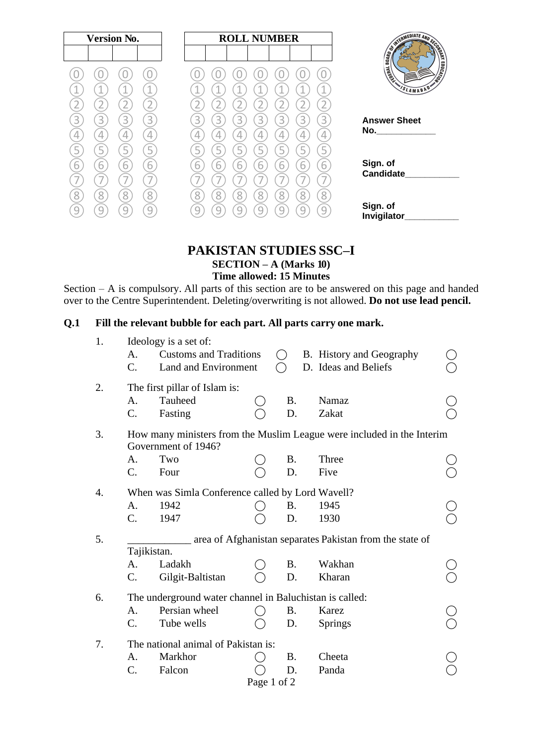|                                                                                                                        |   |   |   | <b>ROLL NUMBER</b> |   |   |   |                               | <b>Version No.</b> |   |   |
|------------------------------------------------------------------------------------------------------------------------|---|---|---|--------------------|---|---|---|-------------------------------|--------------------|---|---|
| <b>CONTROLLATE AND SCORE AND SCORE AND SCORE AND SCORE AND SCORE AND SCORE AND SCORE AND SCORE AND SCORE AND SCORE</b> |   |   |   |                    |   |   |   |                               |                    |   |   |
| <b>EDUCATION</b><br>Limited                                                                                            |   |   |   |                    |   |   |   |                               |                    |   |   |
| SLAMABAD                                                                                                               | 1 |   |   |                    |   |   |   | $\triangleleft$               | ⊣                  |   |   |
|                                                                                                                        |   |   |   |                    |   |   |   |                               |                    |   |   |
| <b>Answer Sheet</b><br>No._______________                                                                              | 3 | 3 | 3 | 3                  | 3 | 3 | 3 | 3                             | 3                  | 3 | К |
|                                                                                                                        | 4 | 4 | 4 | 4                  |   |   |   |                               | 4                  | 4 |   |
|                                                                                                                        | 5 |   |   |                    |   |   |   |                               | ∽                  |   |   |
| Sign. of<br><b>Candidate</b>                                                                                           | 6 | 6 | h | h                  | ь | р | ь | 6<br>$\overline{\phantom{a}}$ | 6                  | 6 | h |
|                                                                                                                        | 8 | 8 | 8 | Զ                  | 8 |   |   | 8                             | 8                  | 8 |   |
| Sign. of                                                                                                               |   |   |   |                    |   |   |   | $\cup$                        |                    |   |   |
| Invigilator                                                                                                            |   |   |   |                    |   |   |   |                               |                    |   |   |

#### **PAKISTAN STUDIES SSC–I SECTION – A (Marks 10) Time allowed: 15 Minutes**

Section – A is compulsory. All parts of this section are to be answered on this page and handed over to the Centre Superintendent. Deleting/overwriting is not allowed. **Do not use lead pencil.**

### **Q.1 Fill the relevant bubble for each part. All parts carry one mark.**

| A. |                  |                                                             |                                                                                        |                                                    |         |                                                                                                                                                                                                                                                                                                       |
|----|------------------|-------------------------------------------------------------|----------------------------------------------------------------------------------------|----------------------------------------------------|---------|-------------------------------------------------------------------------------------------------------------------------------------------------------------------------------------------------------------------------------------------------------------------------------------------------------|
| C. |                  |                                                             |                                                                                        |                                                    |         |                                                                                                                                                                                                                                                                                                       |
|    |                  |                                                             |                                                                                        |                                                    |         |                                                                                                                                                                                                                                                                                                       |
| A. | Tauheed          |                                                             | <b>B.</b>                                                                              |                                                    | Namaz   |                                                                                                                                                                                                                                                                                                       |
| C. | Fasting          |                                                             | D.                                                                                     |                                                    | Zakat   |                                                                                                                                                                                                                                                                                                       |
|    |                  |                                                             |                                                                                        |                                                    |         |                                                                                                                                                                                                                                                                                                       |
|    |                  |                                                             |                                                                                        |                                                    |         |                                                                                                                                                                                                                                                                                                       |
| А. | Two              |                                                             | <b>B.</b>                                                                              |                                                    | Three   |                                                                                                                                                                                                                                                                                                       |
| C. | Four             |                                                             | D.                                                                                     |                                                    | Five    |                                                                                                                                                                                                                                                                                                       |
|    |                  |                                                             |                                                                                        |                                                    |         |                                                                                                                                                                                                                                                                                                       |
| A. | 1942             |                                                             | <b>B.</b>                                                                              |                                                    | 1945    |                                                                                                                                                                                                                                                                                                       |
| C. | 1947             |                                                             | D.                                                                                     |                                                    | 1930    |                                                                                                                                                                                                                                                                                                       |
|    |                  |                                                             |                                                                                        |                                                    |         |                                                                                                                                                                                                                                                                                                       |
|    |                  |                                                             |                                                                                        |                                                    |         |                                                                                                                                                                                                                                                                                                       |
| A. | Ladakh           |                                                             | <b>B.</b>                                                                              |                                                    | Wakhan  |                                                                                                                                                                                                                                                                                                       |
| C. | Gilgit-Baltistan |                                                             | D.                                                                                     |                                                    | Kharan  |                                                                                                                                                                                                                                                                                                       |
|    |                  |                                                             |                                                                                        |                                                    |         |                                                                                                                                                                                                                                                                                                       |
| A. | Persian wheel    |                                                             | <b>B.</b>                                                                              |                                                    | Karez   |                                                                                                                                                                                                                                                                                                       |
| C. | Tube wells       |                                                             | D.                                                                                     |                                                    | Springs |                                                                                                                                                                                                                                                                                                       |
|    |                  |                                                             |                                                                                        |                                                    |         |                                                                                                                                                                                                                                                                                                       |
| A. | Markhor          |                                                             | <b>B.</b>                                                                              |                                                    | Cheeta  |                                                                                                                                                                                                                                                                                                       |
| C. | Falcon           |                                                             | D.                                                                                     |                                                    | Panda   |                                                                                                                                                                                                                                                                                                       |
|    |                  |                                                             |                                                                                        |                                                    |         |                                                                                                                                                                                                                                                                                                       |
|    |                  | Ideology is a set of:<br>Government of 1946?<br>Tajikistan. | <b>Customs and Traditions</b><br>Land and Environment<br>The first pillar of Islam is: | The national animal of Pakistan is:<br>Page 1 of 2 |         | B. History and Geography<br>D. Ideas and Beliefs<br>How many ministers from the Muslim League were included in the Interim<br>When was Simla Conference called by Lord Wavell?<br>area of Afghanistan separates Pakistan from the state of<br>The underground water channel in Baluchistan is called: |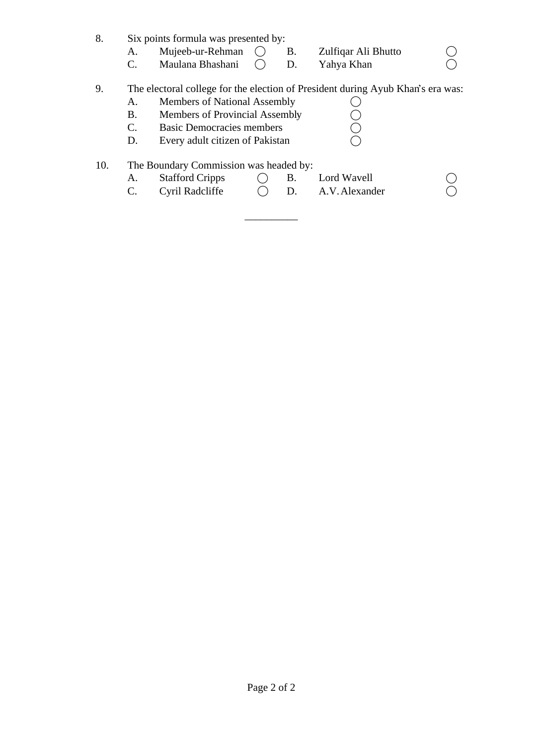| 8.  |                | Six points formula was presented by:   |  |           |                                                                                 |  |  |  |
|-----|----------------|----------------------------------------|--|-----------|---------------------------------------------------------------------------------|--|--|--|
|     | А.             | Mujeeb-ur-Rehman                       |  | <b>B.</b> | Zulfiqar Ali Bhutto                                                             |  |  |  |
|     | $\mathbf{C}$ . | Maulana Bhashani                       |  | D.        | Yahya Khan                                                                      |  |  |  |
| 9.  |                |                                        |  |           | The electoral college for the election of President during Ayub Khan's era was: |  |  |  |
|     | A.             | <b>Members of National Assembly</b>    |  |           |                                                                                 |  |  |  |
|     | B.             | Members of Provincial Assembly         |  |           |                                                                                 |  |  |  |
|     | C.             | <b>Basic Democracies members</b>       |  |           |                                                                                 |  |  |  |
|     | D.             | Every adult citizen of Pakistan        |  |           |                                                                                 |  |  |  |
| 10. |                | The Boundary Commission was headed by: |  |           |                                                                                 |  |  |  |
|     |                | <b>Stafford Cripps</b>                 |  | В.        | Lord Wavell                                                                     |  |  |  |

| Stationu Cripps |  | LUIU WAVUI     |  |
|-----------------|--|----------------|--|
| Cyril Radcliffe |  | A.V. Alexander |  |

 $\overline{\phantom{a}}$  , where  $\overline{\phantom{a}}$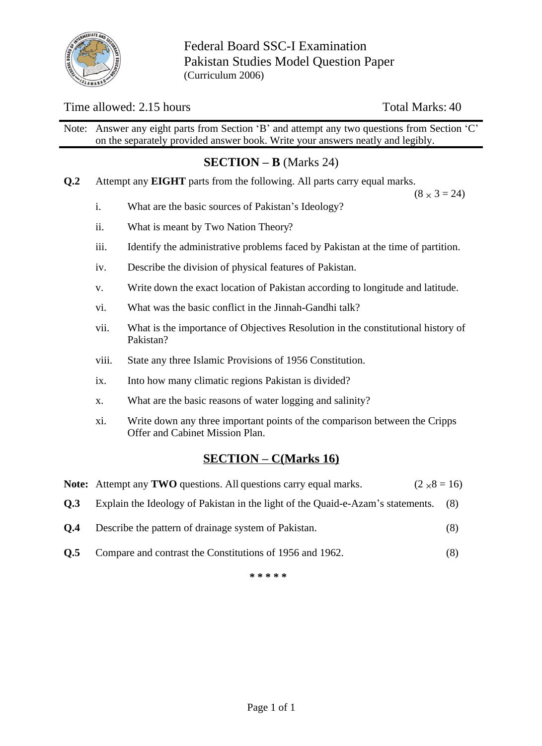

Federal Board SSC-I Examination Pakistan Studies Model Question Paper (Curriculum 2006)

## Time allowed: 2.15 hours Total Marks: 40

Note: Answer any eight parts from Section 'B' and attempt any two questions from Section 'C' on the separately provided answer book. Write your answers neatly and legibly.

# **SECTION – B** (Marks 24)

**Q.2** Attempt any **EIGHT** parts from the following. All parts carry equal marks.

 $(8 \times 3 = 24)$ 

- i. What are the basic sources of Pakistan's Ideology?
- ii. What is meant by Two Nation Theory?
- iii. Identify the administrative problems faced by Pakistan at the time of partition.
- iv. Describe the division of physical features of Pakistan.
- v. Write down the exact location of Pakistan according to longitude and latitude.
- vi. What was the basic conflict in the Jinnah-Gandhi talk?
- vii. What is the importance of Objectives Resolution in the constitutional history of Pakistan?
- viii. State any three Islamic Provisions of 1956 Constitution.
- ix. Into how many climatic regions Pakistan is divided?
- x. What are the basic reasons of water logging and salinity?
- xi. Write down any three important points of the comparison between the Cripps Offer and Cabinet Mission Plan.

### **SECTION – C(Marks 16)**

|            | <b>Note:</b> Attempt any <b>TWO</b> questions. All questions carry equal marks.<br>$(2 \times 8 = 16)$ |     |
|------------|--------------------------------------------------------------------------------------------------------|-----|
| <b>O.3</b> | Explain the Ideology of Pakistan in the light of the Quaid-e-Azam's statements. (8)                    |     |
| O.4        | Describe the pattern of drainage system of Pakistan.                                                   | (8) |
| O.5        | Compare and contrast the Constitutions of 1956 and 1962.                                               | (8) |

**\* \* \* \* \***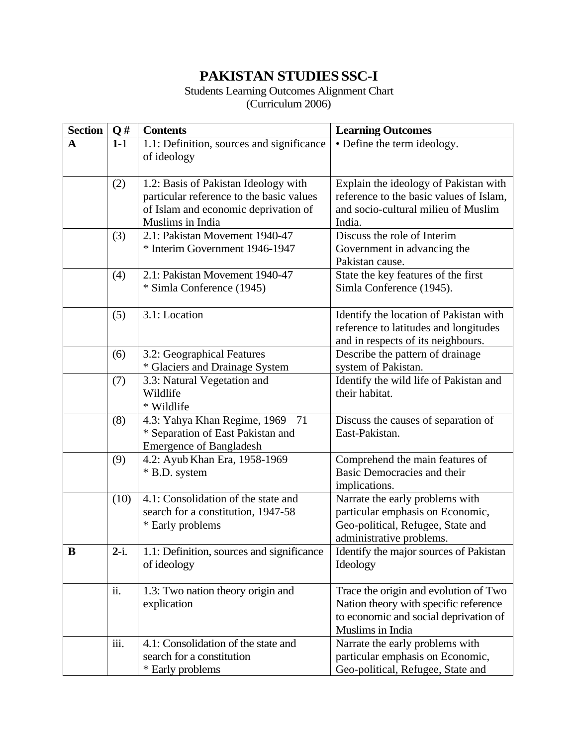# **PAKISTAN STUDIESSSC-I**

#### Students Learning Outcomes Alignment Chart (Curriculum 2006)

| <b>Section</b> | Q#      | <b>Contents</b>                           | <b>Learning Outcomes</b>                |  |  |  |
|----------------|---------|-------------------------------------------|-----------------------------------------|--|--|--|
| $\mathbf A$    | $1-1$   | 1.1: Definition, sources and significance | • Define the term ideology.             |  |  |  |
|                |         | of ideology                               |                                         |  |  |  |
|                |         |                                           |                                         |  |  |  |
|                | (2)     | 1.2: Basis of Pakistan Ideology with      | Explain the ideology of Pakistan with   |  |  |  |
|                |         | particular reference to the basic values  | reference to the basic values of Islam, |  |  |  |
|                |         | of Islam and economic deprivation of      | and socio-cultural milieu of Muslim     |  |  |  |
|                |         | Muslims in India                          | India.                                  |  |  |  |
|                | (3)     | 2.1: Pakistan Movement 1940-47            | Discuss the role of Interim             |  |  |  |
|                |         | * Interim Government 1946-1947            | Government in advancing the             |  |  |  |
|                |         |                                           | Pakistan cause.                         |  |  |  |
|                | (4)     | 2.1: Pakistan Movement 1940-47            | State the key features of the first     |  |  |  |
|                |         | * Simla Conference (1945)                 | Simla Conference (1945).                |  |  |  |
|                | (5)     | 3.1: Location                             | Identify the location of Pakistan with  |  |  |  |
|                |         |                                           | reference to latitudes and longitudes   |  |  |  |
|                |         |                                           | and in respects of its neighbours.      |  |  |  |
|                | (6)     | 3.2: Geographical Features                | Describe the pattern of drainage        |  |  |  |
|                |         | * Glaciers and Drainage System            | system of Pakistan.                     |  |  |  |
|                | (7)     | 3.3: Natural Vegetation and               | Identify the wild life of Pakistan and  |  |  |  |
|                |         | Wildlife                                  | their habitat.                          |  |  |  |
|                |         | * Wildlife                                |                                         |  |  |  |
|                | (8)     | 4.3: Yahya Khan Regime, 1969 - 71         | Discuss the causes of separation of     |  |  |  |
|                |         | * Separation of East Pakistan and         | East-Pakistan.                          |  |  |  |
|                |         | <b>Emergence of Bangladesh</b>            |                                         |  |  |  |
|                | (9)     | 4.2: Ayub Khan Era, 1958-1969             | Comprehend the main features of         |  |  |  |
|                |         | * B.D. system                             | Basic Democracies and their             |  |  |  |
|                |         |                                           | implications.                           |  |  |  |
|                | (10)    | 4.1: Consolidation of the state and       | Narrate the early problems with         |  |  |  |
|                |         | search for a constitution, 1947-58        | particular emphasis on Economic,        |  |  |  |
|                |         | * Early problems                          | Geo-political, Refugee, State and       |  |  |  |
|                |         |                                           | administrative problems.                |  |  |  |
| B              | $2-i$ . | 1.1: Definition, sources and significance | Identify the major sources of Pakistan  |  |  |  |
|                |         | of ideology                               | Ideology                                |  |  |  |
|                |         |                                           |                                         |  |  |  |
|                | ii.     | 1.3: Two nation theory origin and         | Trace the origin and evolution of Two   |  |  |  |
|                |         | explication                               | Nation theory with specific reference   |  |  |  |
|                |         |                                           | to economic and social deprivation of   |  |  |  |
|                |         |                                           | Muslims in India                        |  |  |  |
|                | iii.    | 4.1: Consolidation of the state and       | Narrate the early problems with         |  |  |  |
|                |         | search for a constitution                 | particular emphasis on Economic,        |  |  |  |
|                |         | * Early problems                          | Geo-political, Refugee, State and       |  |  |  |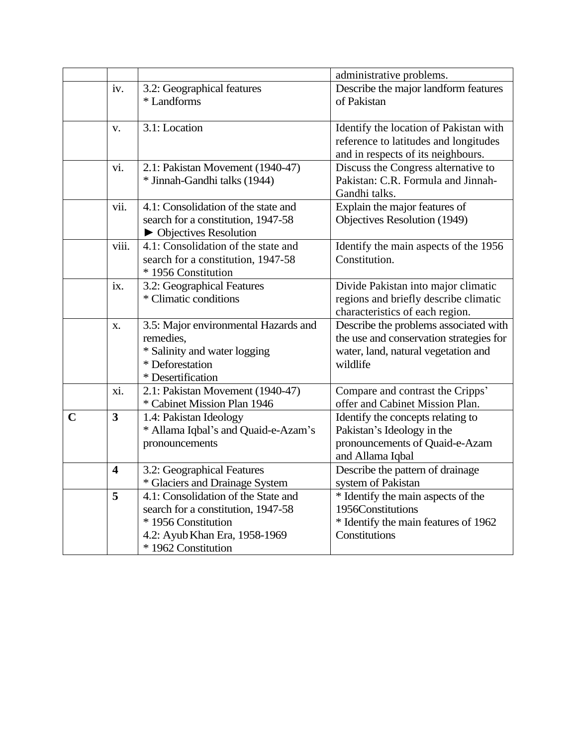|             |                         |                                      | administrative problems.                |
|-------------|-------------------------|--------------------------------------|-----------------------------------------|
|             | iv.                     | 3.2: Geographical features           | Describe the major landform features    |
|             |                         | * Landforms                          | of Pakistan                             |
|             |                         |                                      |                                         |
|             | V.                      | 3.1: Location                        | Identify the location of Pakistan with  |
|             |                         |                                      | reference to latitudes and longitudes   |
|             |                         |                                      | and in respects of its neighbours.      |
|             | vi.                     | 2.1: Pakistan Movement (1940-47)     | Discuss the Congress alternative to     |
|             |                         | * Jinnah-Gandhi talks (1944)         | Pakistan: C.R. Formula and Jinnah-      |
|             |                         |                                      | Gandhi talks.                           |
|             | vii.                    | 4.1: Consolidation of the state and  | Explain the major features of           |
|             |                         | search for a constitution, 1947-58   | Objectives Resolution (1949)            |
|             |                         | • Objectives Resolution              |                                         |
|             | viii.                   | 4.1: Consolidation of the state and  | Identify the main aspects of the 1956   |
|             |                         | search for a constitution, 1947-58   | Constitution.                           |
|             |                         | * 1956 Constitution                  |                                         |
|             | ix.                     | 3.2: Geographical Features           | Divide Pakistan into major climatic     |
|             |                         | * Climatic conditions                | regions and briefly describe climatic   |
|             |                         |                                      | characteristics of each region.         |
|             | X.                      | 3.5: Major environmental Hazards and | Describe the problems associated with   |
|             |                         | remedies,                            | the use and conservation strategies for |
|             |                         | * Salinity and water logging         | water, land, natural vegetation and     |
|             |                         | * Deforestation                      | wildlife                                |
|             |                         | * Desertification                    |                                         |
|             | xi.                     | 2.1: Pakistan Movement (1940-47)     | Compare and contrast the Cripps'        |
|             |                         | * Cabinet Mission Plan 1946          | offer and Cabinet Mission Plan.         |
| $\mathbf C$ | $\overline{\mathbf{3}}$ | 1.4: Pakistan Ideology               | Identify the concepts relating to       |
|             |                         | * Allama Iqbal's and Quaid-e-Azam's  | Pakistan's Ideology in the              |
|             |                         | pronouncements                       | pronouncements of Quaid-e-Azam          |
|             |                         |                                      | and Allama Iqbal                        |
|             | $\overline{\mathbf{4}}$ | 3.2: Geographical Features           | Describe the pattern of drainage        |
|             |                         | * Glaciers and Drainage System       | system of Pakistan                      |
|             | 5                       | 4.1: Consolidation of the State and  | * Identify the main aspects of the      |
|             |                         | search for a constitution, 1947-58   | 1956Constitutions                       |
|             |                         | * 1956 Constitution                  | * Identify the main features of 1962    |
|             |                         | 4.2: Ayub Khan Era, 1958-1969        | Constitutions                           |
|             |                         | * 1962 Constitution                  |                                         |